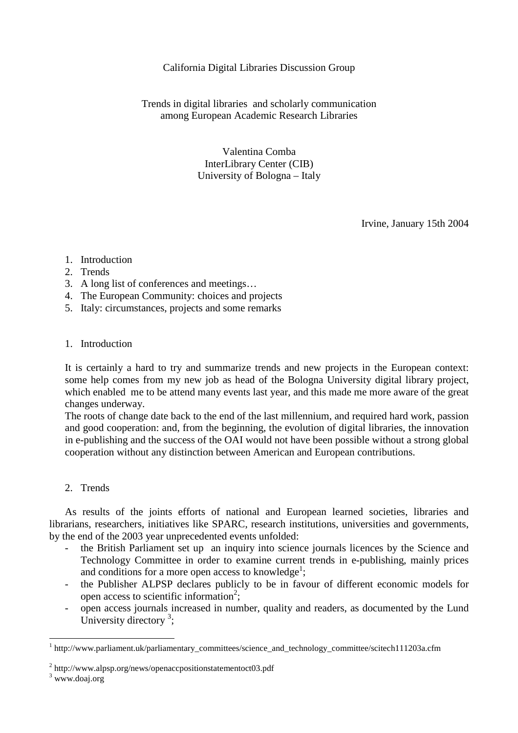# California Digital Libraries Discussion Group

Trends in digital libraries and scholarly communication among European Academic Research Libraries

> Valentina Comba InterLibrary Center (CIB) University of Bologna – Italy

> > Irvine, January 15th 2004

- 1. Introduction
- 2. Trends
- 3. A long list of conferences and meetings…
- 4. The European Community: choices and projects
- 5. Italy: circumstances, projects and some remarks

### 1. Introduction

It is certainly a hard to try and summarize trends and new projects in the European context: some help comes from my new job as head of the Bologna University digital library project, which enabled me to be attend many events last year, and this made me more aware of the great changes underway.

The roots of change date back to the end of the last millennium, and required hard work, passion and good cooperation: and, from the beginning, the evolution of digital libraries, the innovation in e-publishing and the success of the OAI would not have been possible without a strong global cooperation without any distinction between American and European contributions.

### 2. Trends

 As results of the joints efforts of national and European learned societies, libraries and librarians, researchers, initiatives like SPARC, research institutions, universities and governments, by the end of the 2003 year unprecedented events unfolded:

- the British Parliament set up an inquiry into science journals licences by the Science and Technology Committee in order to examine current trends in e-publishing, mainly prices and conditions for a more open access to knowledge<sup>1</sup>;
- the Publisher ALPSP declares publicly to be in favour of different economic models for open access to scientific information<sup>2</sup>;
- open access journals increased in number, quality and readers, as documented by the Lund University directory  $3$ ;

<sup>&</sup>lt;sup>1</sup> http://www.parliament.uk/parliamentary\_committees/science\_and\_technology\_committee/scitech111203a.cfm

<sup>&</sup>lt;sup>2</sup> http://www.alpsp.org/news/openaccpositionstatementoct03.pdf

<sup>&</sup>lt;sup>3</sup> www.doaj.org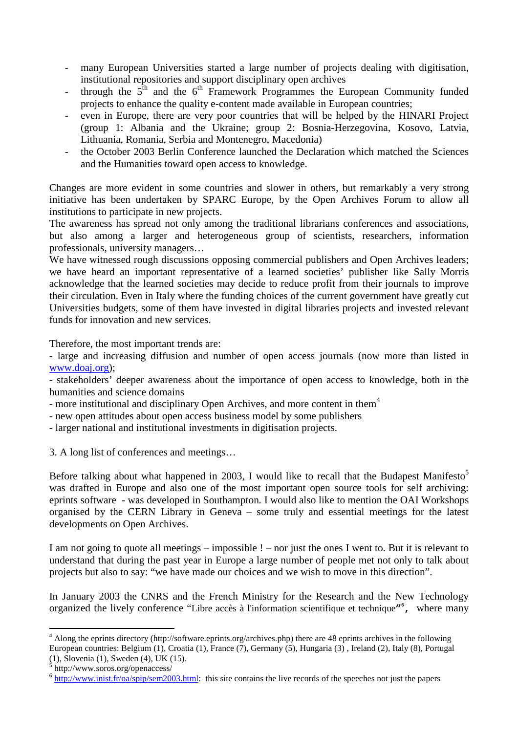- many European Universities started a large number of projects dealing with digitisation, institutional repositories and support disciplinary open archives
- through the  $5<sup>th</sup>$  and the  $6<sup>th</sup>$  Framework Programmes the European Community funded projects to enhance the quality e-content made available in European countries;
- even in Europe, there are very poor countries that will be helped by the HINARI Project (group 1: Albania and the Ukraine; group 2: Bosnia-Herzegovina, Kosovo, Latvia, Lithuania, Romania, Serbia and Montenegro, Macedonia)
- the October 2003 Berlin Conference launched the Declaration which matched the Sciences and the Humanities toward open access to knowledge.

Changes are more evident in some countries and slower in others, but remarkably a very strong initiative has been undertaken by SPARC Europe, by the Open Archives Forum to allow all institutions to participate in new projects.

The awareness has spread not only among the traditional librarians conferences and associations, but also among a larger and heterogeneous group of scientists, researchers, information professionals, university managers…

We have witnessed rough discussions opposing commercial publishers and Open Archives leaders; we have heard an important representative of a learned societies' publisher like Sally Morris acknowledge that the learned societies may decide to reduce profit from their journals to improve their circulation. Even in Italy where the funding choices of the current government have greatly cut Universities budgets, some of them have invested in digital libraries projects and invested relevant funds for innovation and new services.

Therefore, the most important trends are:

- large and increasing diffusion and number of open access journals (now more than listed in www.doaj.org);

- stakeholders' deeper awareness about the importance of open access to knowledge, both in the humanities and science domains

- more institutional and disciplinary Open Archives, and more content in them<sup>4</sup>

- new open attitudes about open access business model by some publishers
- larger national and institutional investments in digitisation projects.

3. A long list of conferences and meetings…

Before talking about what happened in 2003, I would like to recall that the Budapest Manifesto<sup>5</sup> was drafted in Europe and also one of the most important open source tools for self archiving: eprints software - was developed in Southampton. I would also like to mention the OAI Workshops organised by the CERN Library in Geneva – some truly and essential meetings for the latest developments on Open Archives.

I am not going to quote all meetings – impossible ! – nor just the ones I went to. But it is relevant to understand that during the past year in Europe a large number of people met not only to talk about projects but also to say: "we have made our choices and we wish to move in this direction".

In January 2003 the CNRS and the French Ministry for the Research and the New Technology organized the lively conference "Libre accès à l'information scientifique et technique**"6 ,** where many

<sup>&</sup>lt;sup>4</sup> Along the eprints directory (http://software.eprints.org/archives.php) there are 48 eprints archives in the following European countries: Belgium (1), Croatia (1), France (7), Germany (5), Hungaria (3) , Ireland (2), Italy (8), Portugal  $(1)$ , Slovenia  $(1)$ , Sweden  $(4)$ , UK  $(15)$ .

 $\frac{1}{2}$  http://www.soros.org/openaccess/

 $6$  http://www.inist.fr/ $0a/\text{spin}/\text{sem}2003$ .html: this site contains the live records of the speeches not just the papers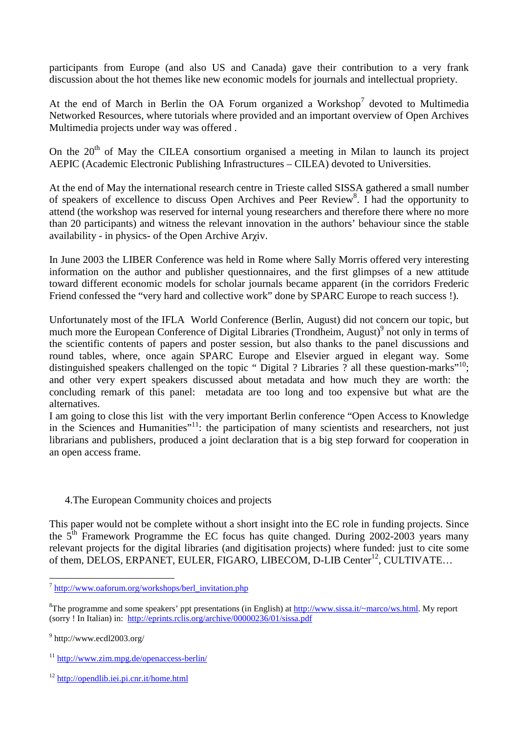participants from Europe (and also US and Canada) gave their contribution to a very frank discussion about the hot themes like new economic models for journals and intellectual propriety.

At the end of March in Berlin the OA Forum organized a Workshop<sup>7</sup> devoted to Multimedia Networked Resources, where tutorials where provided and an important overview of Open Archives Multimedia projects under way was offered .

On the  $20<sup>th</sup>$  of May the CILEA consortium organised a meeting in Milan to launch its project AEPIC (Academic Electronic Publishing Infrastructures – CILEA) devoted to Universities.

At the end of May the international research centre in Trieste called SISSA gathered a small number of speakers of excellence to discuss Open Archives and Peer Review<sup>8</sup>. I had the opportunity to attend (the workshop was reserved for internal young researchers and therefore there where no more than 20 participants) and witness the relevant innovation in the authors' behaviour since the stable availability - in physics- of the Open Archive Aryiv.

In June 2003 the LIBER Conference was held in Rome where Sally Morris offered very interesting information on the author and publisher questionnaires, and the first glimpses of a new attitude toward different economic models for scholar journals became apparent (in the corridors Frederic Friend confessed the "very hard and collective work" done by SPARC Europe to reach success !).

Unfortunately most of the IFLA World Conference (Berlin, August) did not concern our topic, but much more the European Conference of Digital Libraries (Trondheim, August)<sup>9</sup> not only in terms of the scientific contents of papers and poster session, but also thanks to the panel discussions and round tables, where, once again SPARC Europe and Elsevier argued in elegant way. Some distinguished speakers challenged on the topic "Digital ? Libraries ? all these question-marks"<sup>10</sup>; and other very expert speakers discussed about metadata and how much they are worth: the concluding remark of this panel: metadata are too long and too expensive but what are the alternatives.

I am going to close this list with the very important Berlin conference "Open Access to Knowledge in the Sciences and Humanities"<sup>11</sup>: the participation of many scientists and researchers, not just librarians and publishers, produced a joint declaration that is a big step forward for cooperation in an open access frame.

# 4.The European Community choices and projects

This paper would not be complete without a short insight into the EC role in funding projects. Since the  $5<sup>th</sup>$  Framework Programme the EC focus has quite changed. During 2002-2003 years many relevant projects for the digital libraries (and digitisation projects) where funded: just to cite some of them, DELOS, ERPANET, EULER, FIGARO, LIBECOM, D-LIB Center<sup>12</sup>, CULTIVATE...

<sup>7</sup> http://www.oaforum.org/workshops/berl\_invitation.php

<sup>&</sup>lt;sup>8</sup>The programme and some speakers' ppt presentations (in English) at http://www.sissa.it/~marco/ws.html. My report (sorry ! In Italian) in: http://eprints.rclis.org/archive/00000236/01/sissa.pdf

 $9$  http://www.ecdl2003.org/

<sup>11</sup> http://www.zim.mpg.de/openaccess-berlin/

<sup>12</sup> http://opendlib.iei.pi.cnr.it/home.html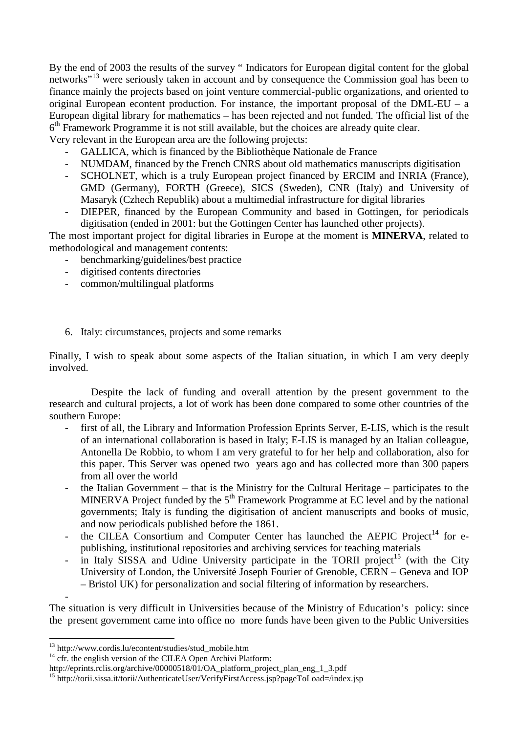By the end of 2003 the results of the survey " Indicators for European digital content for the global networks"13 were seriously taken in account and by consequence the Commission goal has been to finance mainly the projects based on joint venture commercial-public organizations, and oriented to original European econtent production. For instance, the important proposal of the  $DML-EU - a$ European digital library for mathematics – has been rejected and not funded. The official list of the  $6<sup>th</sup>$  Framework Programme it is not still available, but the choices are already quite clear. Very relevant in the European area are the following projects:

- GALLICA, which is financed by the Bibliothèque Nationale de France

- NUMDAM, financed by the French CNRS about old mathematics manuscripts digitisation
- SCHOLNET, which is a truly European project financed by ERCIM and INRIA (France), GMD (Germany), FORTH (Greece), SICS (Sweden), CNR (Italy) and University of Masaryk (Czhech Republik) about a multimedial infrastructure for digital libraries
- DIEPER, financed by the European Community and based in Gottingen, for periodicals digitisation (ended in 2001: but the Gottingen Center has launched other projects).

The most important project for digital libraries in Europe at the moment is **MINERVA**, related to methodological and management contents:

- benchmarking/guidelines/best practice
- digitised contents directories
- common/multilingual platforms

### 6. Italy: circumstances, projects and some remarks

Finally, I wish to speak about some aspects of the Italian situation, in which I am very deeply involved.

 Despite the lack of funding and overall attention by the present government to the research and cultural projects, a lot of work has been done compared to some other countries of the southern Europe:

- first of all, the Library and Information Profession Eprints Server, E-LIS, which is the result of an international collaboration is based in Italy; E-LIS is managed by an Italian colleague, Antonella De Robbio, to whom I am very grateful to for her help and collaboration, also for this paper. This Server was opened two years ago and has collected more than 300 papers from all over the world
- the Italian Government that is the Ministry for the Cultural Heritage participates to the MINERVA Project funded by the  $5<sup>th</sup>$  Framework Programme at EC level and by the national governments; Italy is funding the digitisation of ancient manuscripts and books of music, and now periodicals published before the 1861.
- the CILEA Consortium and Computer Center has launched the AEPIC Project<sup>14</sup> for epublishing, institutional repositories and archiving services for teaching materials
- $-$  in Italy SISSA and Udine University participate in the TORII project<sup>15</sup> (with the City University of London, the Université Joseph Fourier of Grenoble, CERN – Geneva and IOP – Bristol UK) for personalization and social filtering of information by researchers.

The situation is very difficult in Universities because of the Ministry of Education's policy: since the present government came into office no more funds have been given to the Public Universities

-

<sup>&</sup>lt;sup>13</sup> http://www.cordis.lu/econtent/studies/stud\_mobile.htm

 $^{14}$  cfr. the english version of the CILEA Open Archivi Platform:

http://eprints.rclis.org/archive/00000518/01/OA\_platform\_project\_plan\_eng\_1\_3.pdf

<sup>&</sup>lt;sup>15</sup> http://torii.sissa.it/torii/AuthenticateUser/VerifyFirstAccess.jsp?pageToLoad=/index.jsp